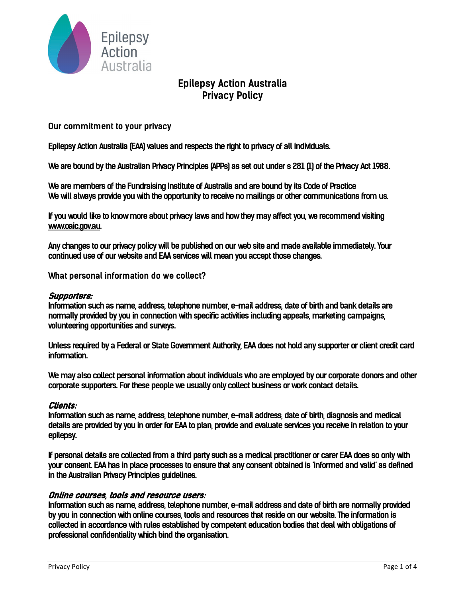

# **Epilepsy Action Australia Privacy Policy**

**Our commitment to your privacy**

**Epilepsy Action Australia (EAA) values and respects the right to privacy of all individuals.**

**We are bound by the Australian Privacy Principles (APPs) as set out under s 281 (1) of the Privacy Act 1988.**

**We are members of theFundraising Institute of Australia and are bound by its Code of Practice We will always provide you with the opportunity to receive no mailings or other communications from us.**

**If you would like to know more about privacy laws and how they may affect you, we recommend visiting [www.oaic.gov.au.](http://www.oaic.gov.au/)**

**Any changes to our privacy policy will be published on our web site and made available immediately. Your continued use of our website and EAA services will mean you accept those changes.**

**What personal information do we collect?**

#### **Supporters:**

**Information such as name, address, telephone number, e-mail address, date of birth and bank details are normally provided by you in connection with specific activities including appeals, marketing campaigns, volunteering opportunities and surveys.** 

**Unless required by a Federal or State Government Authority, EAA does not hold any supporter or client credit card information.**

**We may also collect personal information about individuals who are employed by our corporate donors and other corporate supporters. For these people we usually only collect business or work contact details.**

### **Clients:**

**Information such as name, address, telephone number, e-mail address, date of birth, diagnosis and medical details are provided by you in order for EAA to plan, provide and evaluate services you receive in relation to your epilepsy.** 

**If personal details are collected from a third party such as a medical practitioner or carer EAA does so only with your consent. EAA has in place processes to ensure that any consent obtained is 'informed and valid' as defined in the Australian Privacy Principles guidelines.**

### **Online courses, tools and resource users:**

**Information such as name, address, telephone number, e-mail address and date of birth are normally provided by you in connection with online courses, tools and resources that reside on our website. The information is collected in accordance with rules established by competent education bodies that deal with obligations of professional confidentiality which bind the organisation.**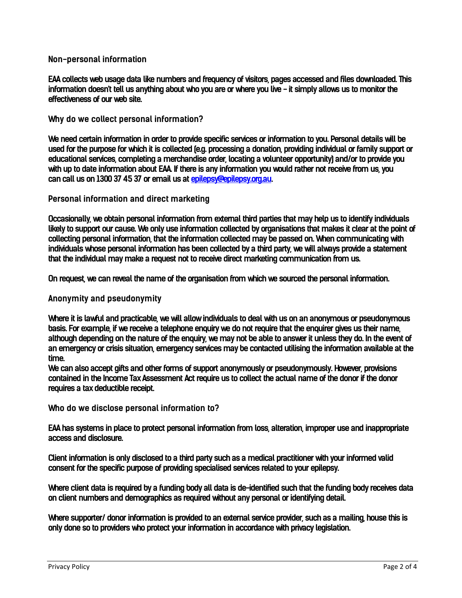#### **Non-personal information**

**EAA collects web usage data like numbers and frequency of visitors, pages accessed and files downloaded. This**  information doesn't tell us anything about who you are or where you live - it simply allows us to monitor the **effectiveness of our web site.**

#### **Why do we collect personal information?**

**We need certain information in order to provide specific services or information to you. Personal details will be used for the purpose for which it is collected (e.g. processing a donation, providing individual or family support or educational services, completing a merchandise order, locating a volunteer opportunity) and/or to provide you with up to date information about EAA. If there is any information you would rather not receive from us, you cancall us on 1300 37 45 37 or email us a[t epilepsy@epilepsy.org.au.](mailto:epilepsy@epilepsy.org.au)**

#### **Personal information and direct marketing**

**Occasionally, we obtain personal information from external third parties that may help us to identify individuals likely to support our cause. We only use information collected by organisations that makes it clear at the point of collecting personal information, that the information collected may be passed on. When communicating with individuals whose personal information has been collected by a third party, we will always provide a statement that the individual may make a request not to receive direct marketing communication from us.**

**On request, we can reveal the name of the organisation from which we sourced the personal information.**

### **Anonymity and pseudonymity**

**Where it is lawful and practicable, we will allow individuals to deal with us on an anonymous or pseudonymous basis. For example, if we receive a telephone enquiry we do not require that the enquirer gives us their name, although depending on the nature of the enquiry, we may not be able to answer it unless they do. In the event of an emergency or crisis situation, emergency services may be contacted utilising the information available at the time.**

**We can also accept gifts and other forms of support anonymously or pseudonymously. However, provisions contained in the Income Tax Assessment Act require us to collect the actual name of the donor if the donor requires a tax deductible receipt.**

**Who do we disclose personal information to?**

**EAAhas systems in place to protect personal information from loss, alteration, improper use and inappropriate access and disclosure.**

Client information is only disclosed to a third party such as a medical practitioner with your informed valid **consent forthe specific purpose of providing specialised services related to your epilepsy.**

Where client data is required by a funding body all data is de-identified such that the funding body receives data **on client numbers and demographics as required without anypersonal oridentifying detail.**

Where supporter/ donor information is provided to an external service provider, such as a mailing, house this is **only done so to providers who protect yourinformation in accordancewith privacy legislation.**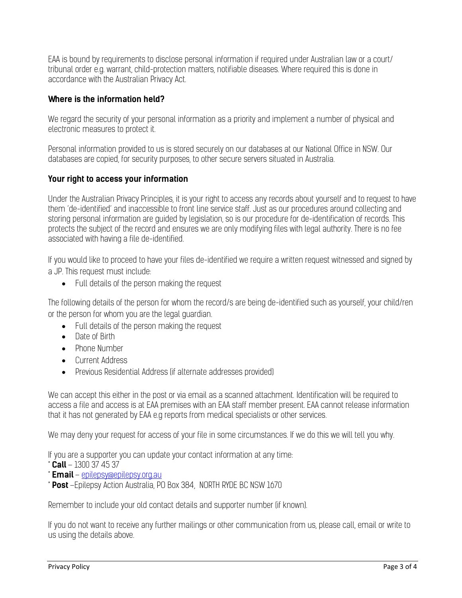EAA is bound by requirements to disclose personal information if required under Australian law or a court/ tribunal order e.g. warrant, child-protection matters, notifiable diseases. Where required this is done in accordance with the Australian Privacy Act.

# **Where is the information held?**

We regard the security of your personal information as a priority and implement a number of physical and electronic measures to protect it.

Personal information provided to us is stored securely on our databases at our National Office in NSW. Our databases are copied, for security purposes, to other secure servers situated in Australia.

# **Your right to access your information**

Under the Australian Privacy Principles, it is your right to access any records about yourself and to request to have them 'de-identified' and inaccessible to front line service staff. Just as our procedures around collecting and storing personal information are guided by legislation, so is our procedure for de-identification of records. This protects the subject of the record and ensures we are only modifying files with legal authority. There is no fee associated with having a file de-identified.

If you would like to proceed to have your files de-identified we require a written request witnessed and signed by a JP. This request must include:

• Full details of the person making the request

The following details of the person for whom the record/s are being de-identified such as yourself, your child/ren or the person for whom you are the legal guardian.

- Full details of the person making the request
- Date of Birth
- Phone Number
- Current Address
- Previous Residential Address (if alternate addresses provided)

We can accept this either in the post or via email as a scanned attachment. Identification will be required to access a file and access is at EAA premises with an EAA staff member present. EAA cannot release information that it has not generated by EAA e.g reports from medical specialists or other services.

We may deny your request for access of your file in some circumstances. If we do this we will tell you why.

If you are a supporter you can update your contact information at any time:

- \* **Call** 1300 37 45 37
- \* **Email** [epilepsy@epilepsy.org.au](mailto:epilepsy@epilepsy.org.au)

\* **Post** –Epilepsy Action Australia, PO Box 384, NORTH RYDE BC NSW 1670

Remember to include your old contact details and supporter number (if known).

If you do not want to receive any further mailings or other communication from us, please call, email or write to us using the details above.